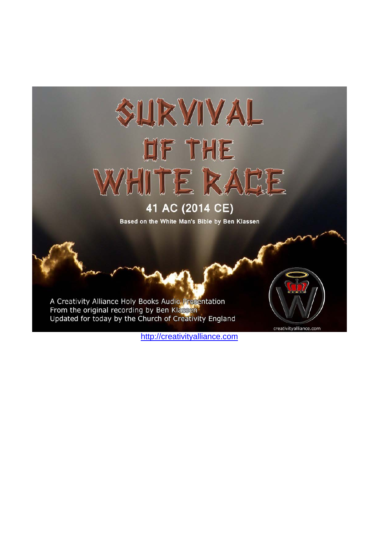## SALEYMYAL OF THE WILLE RAD

## 41 AC (2014 CE)

Based on the White Man's Bible by Ben Klassen

A Creativity Alliance Holy Books Audio Presentation From the original recording by Ben Klassen Updated for today by the Church of Creativity England

creativityalliance.com

[http://creativityalliance.com](http://creativityalliance.com/)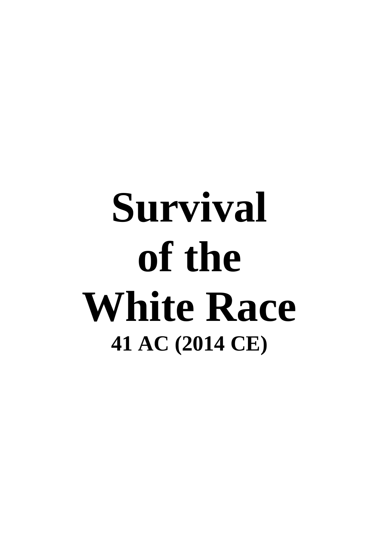## **Survival of the White Race 41 AC (2014 CE)**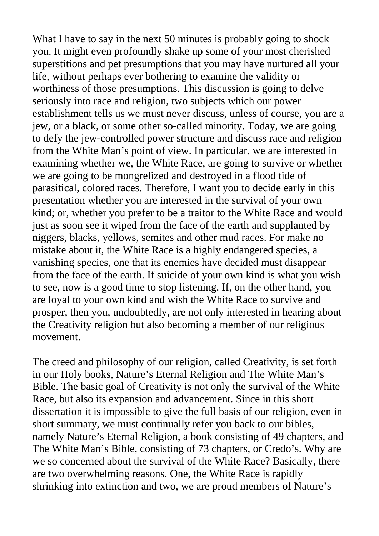What I have to say in the next 50 minutes is probably going to shock you. It might even profoundly shake up some of your most cherished superstitions and pet presumptions that you may have nurtured all your life, without perhaps ever bothering to examine the validity or worthiness of those presumptions. This discussion is going to delve seriously into race and religion, two subjects which our power establishment tells us we must never discuss, unless of course, you are a jew, or a black, or some other so-called minority. Today, we are going to defy the jew-controlled power structure and discuss race and religion from the White Man's point of view. In particular, we are interested in examining whether we, the White Race, are going to survive or whether we are going to be mongrelized and destroyed in a flood tide of parasitical, colored races. Therefore, I want you to decide early in this presentation whether you are interested in the survival of your own kind; or, whether you prefer to be a traitor to the White Race and would just as soon see it wiped from the face of the earth and supplanted by niggers, blacks, yellows, semites and other mud races. For make no mistake about it, the White Race is a highly endangered species, a vanishing species, one that its enemies have decided must disappear from the face of the earth. If suicide of your own kind is what you wish to see, now is a good time to stop listening. If, on the other hand, you are loyal to your own kind and wish the White Race to survive and prosper, then you, undoubtedly, are not only interested in hearing about the Creativity religion but also becoming a member of our religious movement.

The creed and philosophy of our religion, called Creativity, is set forth in our Holy books, Nature's Eternal Religion and The White Man's Bible. The basic goal of Creativity is not only the survival of the White Race, but also its expansion and advancement. Since in this short dissertation it is impossible to give the full basis of our religion, even in short summary, we must continually refer you back to our bibles, namely Nature's Eternal Religion, a book consisting of 49 chapters, and The White Man's Bible, consisting of 73 chapters, or Credo's. Why are we so concerned about the survival of the White Race? Basically, there are two overwhelming reasons. One, the White Race is rapidly shrinking into extinction and two, we are proud members of Nature's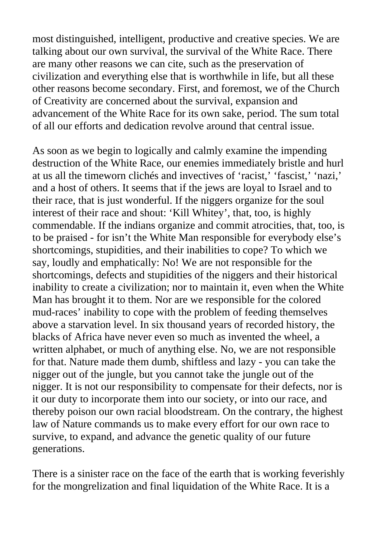most distinguished, intelligent, productive and creative species. We are talking about our own survival, the survival of the White Race. There are many other reasons we can cite, such as the preservation of civilization and everything else that is worthwhile in life, but all these other reasons become secondary. First, and foremost, we of the Church of Creativity are concerned about the survival, expansion and advancement of the White Race for its own sake, period. The sum total of all our efforts and dedication revolve around that central issue.

As soon as we begin to logically and calmly examine the impending destruction of the White Race, our enemies immediately bristle and hurl at us all the timeworn clichés and invectives of 'racist,' 'fascist,' 'nazi,' and a host of others. It seems that if the jews are loyal to Israel and to their race, that is just wonderful. If the niggers organize for the soul interest of their race and shout: 'Kill Whitey', that, too, is highly commendable. If the indians organize and commit atrocities, that, too, is to be praised - for isn't the White Man responsible for everybody else's shortcomings, stupidities, and their inabilities to cope? To which we say, loudly and emphatically: No! We are not responsible for the shortcomings, defects and stupidities of the niggers and their historical inability to create a civilization; nor to maintain it, even when the White Man has brought it to them. Nor are we responsible for the colored mud-races' inability to cope with the problem of feeding themselves above a starvation level. In six thousand years of recorded history, the blacks of Africa have never even so much as invented the wheel, a written alphabet, or much of anything else. No, we are not responsible for that. Nature made them dumb, shiftless and lazy - you can take the nigger out of the jungle, but you cannot take the jungle out of the nigger. It is not our responsibility to compensate for their defects, nor is it our duty to incorporate them into our society, or into our race, and thereby poison our own racial bloodstream. On the contrary, the highest law of Nature commands us to make every effort for our own race to survive, to expand, and advance the genetic quality of our future generations.

There is a sinister race on the face of the earth that is working feverishly for the mongrelization and final liquidation of the White Race. It is a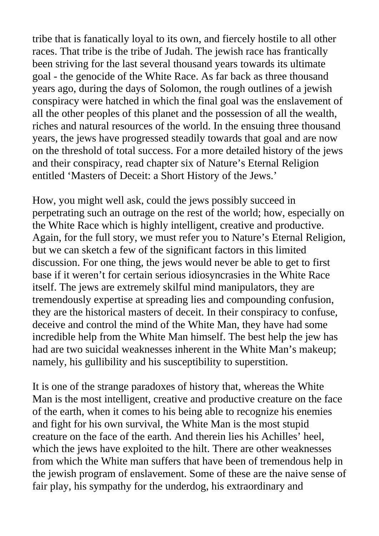tribe that is fanatically loyal to its own, and fiercely hostile to all other races. That tribe is the tribe of Judah. The jewish race has frantically been striving for the last several thousand years towards its ultimate goal - the genocide of the White Race. As far back as three thousand years ago, during the days of Solomon, the rough outlines of a jewish conspiracy were hatched in which the final goal was the enslavement of all the other peoples of this planet and the possession of all the wealth, riches and natural resources of the world. In the ensuing three thousand years, the jews have progressed steadily towards that goal and are now on the threshold of total success. For a more detailed history of the jews and their conspiracy, read chapter six of Nature's Eternal Religion entitled 'Masters of Deceit: a Short History of the Jews.'

How, you might well ask, could the jews possibly succeed in perpetrating such an outrage on the rest of the world; how, especially on the White Race which is highly intelligent, creative and productive. Again, for the full story, we must refer you to Nature's Eternal Religion, but we can sketch a few of the significant factors in this limited discussion. For one thing, the jews would never be able to get to first base if it weren't for certain serious idiosyncrasies in the White Race itself. The jews are extremely skilful mind manipulators, they are tremendously expertise at spreading lies and compounding confusion, they are the historical masters of deceit. In their conspiracy to confuse, deceive and control the mind of the White Man, they have had some incredible help from the White Man himself. The best help the jew has had are two suicidal weaknesses inherent in the White Man's makeup; namely, his gullibility and his susceptibility to superstition.

It is one of the strange paradoxes of history that, whereas the White Man is the most intelligent, creative and productive creature on the face

of the earth, when it comes to his being able to recognize his enemies and fight for his own survival, the White Man is the most stupid creature on the face of the earth. And therein lies his Achilles' heel, which the jews have exploited to the hilt. There are other weaknesses from which the White man suffers that have been of tremendous help in the jewish program of enslavement. Some of these are the naive sense of fair play, his sympathy for the underdog, his extraordinary and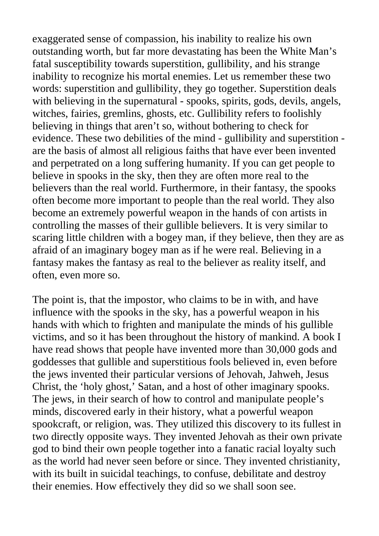exaggerated sense of compassion, his inability to realize his own outstanding worth, but far more devastating has been the White Man's fatal susceptibility towards superstition, gullibility, and his strange inability to recognize his mortal enemies. Let us remember these two words: superstition and gullibility, they go together. Superstition deals with believing in the supernatural - spooks, spirits, gods, devils, angels, witches, fairies, gremlins, ghosts, etc. Gullibility refers to foolishly believing in things that aren't so, without bothering to check for evidence. These two debilities of the mind - gullibility and superstition are the basis of almost all religious faiths that have ever been invented and perpetrated on a long suffering humanity. If you can get people to believe in spooks in the sky, then they are often more real to the believers than the real world. Furthermore, in their fantasy, the spooks often become more important to people than the real world. They also become an extremely powerful weapon in the hands of con artists in controlling the masses of their gullible believers. It is very similar to scaring little children with a bogey man, if they believe, then they are as afraid of an imaginary bogey man as if he were real. Believing in a fantasy makes the fantasy as real to the believer as reality itself, and often, even more so.

The point is, that the impostor, who claims to be in with, and have influence with the spooks in the sky, has a powerful weapon in his hands with which to frighten and manipulate the minds of his gullible victims, and so it has been throughout the history of mankind. A book I have read shows that people have invented more than 30,000 gods and goddesses that gullible and superstitious fools believed in, even before the jews invented their particular versions of Jehovah, Jahweh, Jesus Christ, the 'holy ghost,' Satan, and a host of other imaginary spooks. The jews, in their search of how to control and manipulate people's minds, discovered early in their history, what a powerful weapon spookcraft, or religion, was. They utilized this discovery to its fullest in two directly opposite ways. They invented Jehovah as their own private god to bind their own people together into a fanatic racial loyalty such as the world had never seen before or since. They invented christianity, with its built in suicidal teachings, to confuse, debilitate and destroy their enemies. How effectively they did so we shall soon see.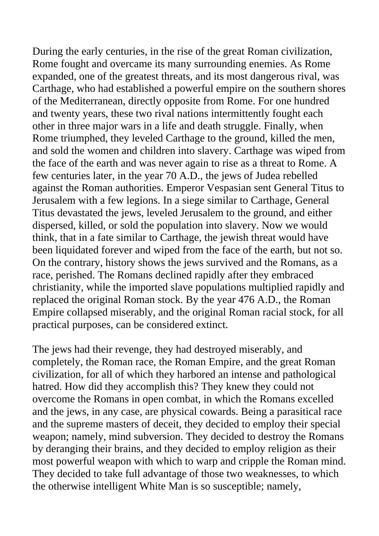During the early centuries, in the rise of the great Roman civilization, Rome fought and overcame its many surrounding enemies. As Rome expanded, one of the greatest threats, and its most dangerous rival, was Carthage, who had established a powerful empire on the southern shores of the Mediterranean, directly opposite from Rome. For one hundred and twenty years, these two rival nations intermittently fought each other in three major wars in a life and death struggle. Finally, when Rome triumphed, they leveled Carthage to the ground, killed the men, and sold the women and children into slavery. Carthage was wiped from the face of the earth and was never again to rise as a threat to Rome. A few centuries later, in the year 70 A.D., the jews of Judea rebelled against the Roman authorities. Emperor Vespasian sent General Titus to Jerusalem with a few legions. In a siege similar to Carthage, General Titus devastated the jews, leveled Jerusalem to the ground, and either dispersed, killed, or sold the population into slavery. Now we would think, that in a fate similar to Carthage, the jewish threat would have been liquidated forever and wiped from the face of the earth, but not so. On the contrary, history shows the jews survived and the Romans, as a race, perished. The Romans declined rapidly after they embraced christianity, while the imported slave populations multiplied rapidly and replaced the original Roman stock. By the year 476 A.D., the Roman Empire collapsed miserably, and the original Roman racial stock, for all practical purposes, can be considered extinct.

The jews had their revenge, they had destroyed miserably, and completely, the Roman race, the Roman Empire, and the great Roman civilization, for all of which they harbored an intense and pathological hatred. How did they accomplish this? They knew they could not overcome the Romans in open combat, in which the Romans excelled and the jews, in any case, are physical cowards. Being a parasitical race and the supreme masters of deceit, they decided to employ their special weapon; namely, mind subversion. They decided to destroy the Romans by deranging their brains, and they decided to employ religion as their most powerful weapon with which to warp and cripple the Roman mind. They decided to take full advantage of those two weaknesses, to which the otherwise intelligent White Man is so susceptible; namely,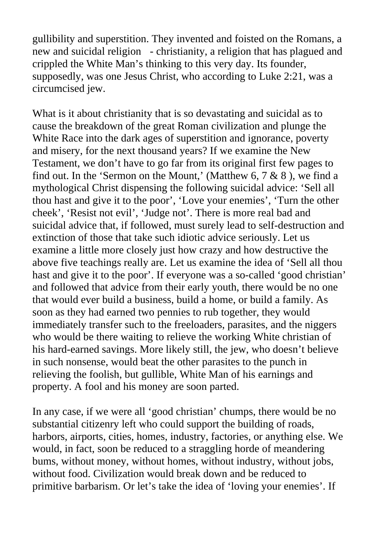gullibility and superstition. They invented and foisted on the Romans, a new and suicidal religion - christianity, a religion that has plagued and crippled the White Man's thinking to this very day. Its founder, supposedly, was one Jesus Christ, who according to Luke 2:21, was a circumcised jew.

What is it about christianity that is so devastating and suicidal as to cause the breakdown of the great Roman civilization and plunge the White Race into the dark ages of superstition and ignorance, poverty and misery, for the next thousand years? If we examine the New Testament, we don't have to go far from its original first few pages to find out. In the 'Sermon on the Mount,' (Matthew  $6, 7 \& 8$ ), we find a mythological Christ dispensing the following suicidal advice: 'Sell all thou hast and give it to the poor', 'Love your enemies', 'Turn the other cheek', 'Resist not evil', 'Judge not'. There is more real bad and suicidal advice that, if followed, must surely lead to self-destruction and extinction of those that take such idiotic advice seriously. Let us examine a little more closely just how crazy and how destructive the above five teachings really are. Let us examine the idea of 'Sell all thou hast and give it to the poor'. If everyone was a so-called 'good christian' and followed that advice from their early youth, there would be no one that would ever build a business, build a home, or build a family. As soon as they had earned two pennies to rub together, they would immediately transfer such to the freeloaders, parasites, and the niggers who would be there waiting to relieve the working White christian of his hard-earned savings. More likely still, the jew, who doesn't believe in such nonsense, would beat the other parasites to the punch in relieving the foolish, but gullible, White Man of his earnings and property. A fool and his money are soon parted.

In any case, if we were all 'good christian' chumps, there would be no substantial citizenry left who could support the building of roads, harbors, airports, cities, homes, industry, factories, or anything else. We would, in fact, soon be reduced to a straggling horde of meandering bums, without money, without homes, without industry, without jobs, without food. Civilization would break down and be reduced to primitive barbarism. Or let's take the idea of 'loving your enemies'. If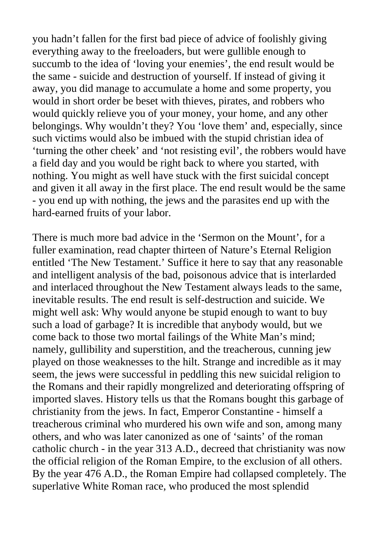you hadn't fallen for the first bad piece of advice of foolishly giving everything away to the freeloaders, but were gullible enough to succumb to the idea of 'loving your enemies', the end result would be the same - suicide and destruction of yourself. If instead of giving it away, you did manage to accumulate a home and some property, you would in short order be beset with thieves, pirates, and robbers who would quickly relieve you of your money, your home, and any other belongings. Why wouldn't they? You 'love them' and, especially, since such victims would also be imbued with the stupid christian idea of 'turning the other cheek' and 'not resisting evil', the robbers would have a field day and you would be right back to where you started, with nothing. You might as well have stuck with the first suicidal concept and given it all away in the first place. The end result would be the same - you end up with nothing, the jews and the parasites end up with the hard-earned fruits of your labor.

There is much more bad advice in the 'Sermon on the Mount', for a fuller examination, read chapter thirteen of Nature's Eternal Religion entitled 'The New Testament.' Suffice it here to say that any reasonable and intelligent analysis of the bad, poisonous advice that is interlarded and interlaced throughout the New Testament always leads to the same, inevitable results. The end result is self-destruction and suicide. We might well ask: Why would anyone be stupid enough to want to buy such a load of garbage? It is incredible that anybody would, but we come back to those two mortal failings of the White Man's mind; namely, gullibility and superstition, and the treacherous, cunning jew played on those weaknesses to the hilt. Strange and incredible as it may seem, the jews were successful in peddling this new suicidal religion to the Romans and their rapidly mongrelized and deteriorating offspring of imported slaves. History tells us that the Romans bought this garbage of christianity from the jews. In fact, Emperor Constantine - himself a treacherous criminal who murdered his own wife and son, among many others, and who was later canonized as one of 'saints' of the roman catholic church - in the year 313 A.D., decreed that christianity was now the official religion of the Roman Empire, to the exclusion of all others. By the year 476 A.D., the Roman Empire had collapsed completely. The superlative White Roman race, who produced the most splendid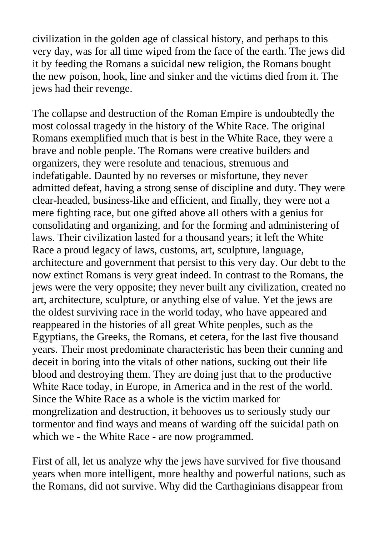civilization in the golden age of classical history, and perhaps to this very day, was for all time wiped from the face of the earth. The jews did it by feeding the Romans a suicidal new religion, the Romans bought the new poison, hook, line and sinker and the victims died from it. The jews had their revenge.

The collapse and destruction of the Roman Empire is undoubtedly the most colossal tragedy in the history of the White Race. The original Romans exemplified much that is best in the White Race, they were a brave and noble people. The Romans were creative builders and organizers, they were resolute and tenacious, strenuous and indefatigable. Daunted by no reverses or misfortune, they never admitted defeat, having a strong sense of discipline and duty. They were clear-headed, business-like and efficient, and finally, they were not a mere fighting race, but one gifted above all others with a genius for consolidating and organizing, and for the forming and administering of laws. Their civilization lasted for a thousand years; it left the White Race a proud legacy of laws, customs, art, sculpture, language, architecture and government that persist to this very day. Our debt to the now extinct Romans is very great indeed. In contrast to the Romans, the jews were the very opposite; they never built any civilization, created no art, architecture, sculpture, or anything else of value. Yet the jews are the oldest surviving race in the world today, who have appeared and reappeared in the histories of all great White peoples, such as the Egyptians, the Greeks, the Romans, et cetera, for the last five thousand years. Their most predominate characteristic has been their cunning and deceit in boring into the vitals of other nations, sucking out their life blood and destroying them. They are doing just that to the productive White Race today, in Europe, in America and in the rest of the world. Since the White Race as a whole is the victim marked for

mongrelization and destruction, it behooves us to seriously study our tormentor and find ways and means of warding off the suicidal path on which we - the White Race - are now programmed.

First of all, let us analyze why the jews have survived for five thousand years when more intelligent, more healthy and powerful nations, such as the Romans, did not survive. Why did the Carthaginians disappear from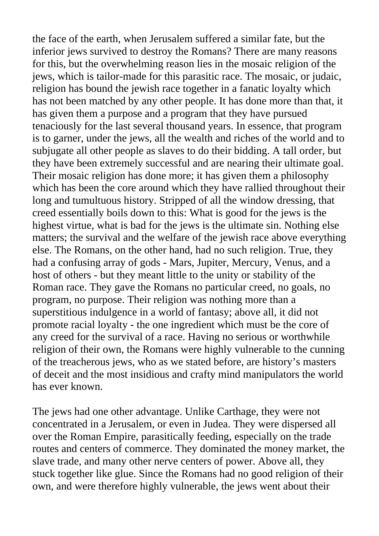the face of the earth, when Jerusalem suffered a similar fate, but the inferior jews survived to destroy the Romans? There are many reasons for this, but the overwhelming reason lies in the mosaic religion of the jews, which is tailor-made for this parasitic race. The mosaic, or judaic, religion has bound the jewish race together in a fanatic loyalty which has not been matched by any other people. It has done more than that, it has given them a purpose and a program that they have pursued tenaciously for the last several thousand years. In essence, that program is to garner, under the jews, all the wealth and riches of the world and to subjugate all other people as slaves to do their bidding. A tall order, but they have been extremely successful and are nearing their ultimate goal. Their mosaic religion has done more; it has given them a philosophy which has been the core around which they have rallied throughout their long and tumultuous history. Stripped of all the window dressing, that creed essentially boils down to this: What is good for the jews is the highest virtue, what is bad for the jews is the ultimate sin. Nothing else matters; the survival and the welfare of the jewish race above everything else. The Romans, on the other hand, had no such religion. True, they had a confusing array of gods - Mars, Jupiter, Mercury, Venus, and a host of others - but they meant little to the unity or stability of the Roman race. They gave the Romans no particular creed, no goals, no program, no purpose. Their religion was nothing more than a superstitious indulgence in a world of fantasy; above all, it did not promote racial loyalty - the one ingredient which must be the core of any creed for the survival of a race. Having no serious or worthwhile religion of their own, the Romans were highly vulnerable to the cunning of the treacherous jews, who as we stated before, are history's masters of deceit and the most insidious and crafty mind manipulators the world has ever known.

The jews had one other advantage. Unlike Carthage, they were not concentrated in a Jerusalem, or even in Judea. They were dispersed all over the Roman Empire, parasitically feeding, especially on the trade routes and centers of commerce. They dominated the money market, the slave trade, and many other nerve centers of power. Above all, they stuck together like glue. Since the Romans had no good religion of their own, and were therefore highly vulnerable, the jews went about their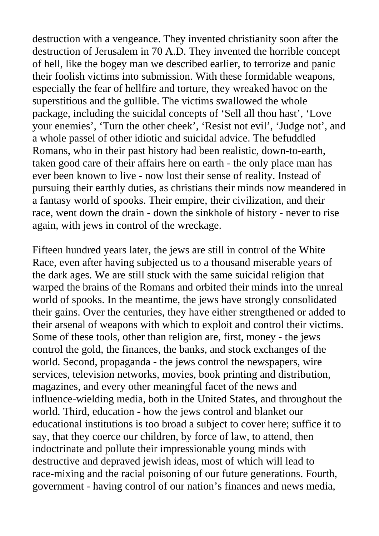destruction with a vengeance. They invented christianity soon after the destruction of Jerusalem in 70 A.D. They invented the horrible concept of hell, like the bogey man we described earlier, to terrorize and panic their foolish victims into submission. With these formidable weapons, especially the fear of hellfire and torture, they wreaked havoc on the superstitious and the gullible. The victims swallowed the whole package, including the suicidal concepts of 'Sell all thou hast', 'Love your enemies', 'Turn the other cheek', 'Resist not evil', 'Judge not', and a whole passel of other idiotic and suicidal advice. The befuddled Romans, who in their past history had been realistic, down-to-earth, taken good care of their affairs here on earth - the only place man has ever been known to live - now lost their sense of reality. Instead of pursuing their earthly duties, as christians their minds now meandered in a fantasy world of spooks. Their empire, their civilization, and their race, went down the drain - down the sinkhole of history - never to rise again, with jews in control of the wreckage.

Fifteen hundred years later, the jews are still in control of the White Race, even after having subjected us to a thousand miserable years of the dark ages. We are still stuck with the same suicidal religion that warped the brains of the Romans and orbited their minds into the unreal world of spooks. In the meantime, the jews have strongly consolidated their gains. Over the centuries, they have either strengthened or added to their arsenal of weapons with which to exploit and control their victims. Some of these tools, other than religion are, first, money - the jews control the gold, the finances, the banks, and stock exchanges of the world. Second, propaganda - the jews control the newspapers, wire services, television networks, movies, book printing and distribution, magazines, and every other meaningful facet of the news and influence-wielding media, both in the United States, and throughout the world. Third, education - how the jews control and blanket our educational institutions is too broad a subject to cover here; suffice it to say, that they coerce our children, by force of law, to attend, then indoctrinate and pollute their impressionable young minds with destructive and depraved jewish ideas, most of which will lead to race-mixing and the racial poisoning of our future generations. Fourth, government - having control of our nation's finances and news media,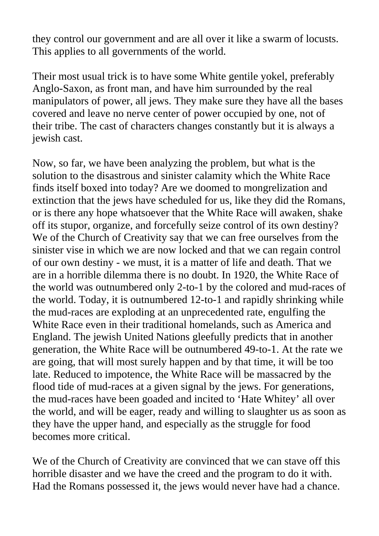they control our government and are all over it like a swarm of locusts. This applies to all governments of the world.

Their most usual trick is to have some White gentile yokel, preferably Anglo-Saxon, as front man, and have him surrounded by the real manipulators of power, all jews. They make sure they have all the bases covered and leave no nerve center of power occupied by one, not of their tribe. The cast of characters changes constantly but it is always a jewish cast.

Now, so far, we have been analyzing the problem, but what is the solution to the disastrous and sinister calamity which the White Race finds itself boxed into today? Are we doomed to mongrelization and extinction that the jews have scheduled for us, like they did the Romans, or is there any hope whatsoever that the White Race will awaken, shake off its stupor, organize, and forcefully seize control of its own destiny? We of the Church of Creativity say that we can free ourselves from the sinister vise in which we are now locked and that we can regain control of our own destiny - we must, it is a matter of life and death. That we are in a horrible dilemma there is no doubt. In 1920, the White Race of the world was outnumbered only 2-to-1 by the colored and mud-races of the world. Today, it is outnumbered 12-to-1 and rapidly shrinking while the mud-races are exploding at an unprecedented rate, engulfing the White Race even in their traditional homelands, such as America and England. The jewish United Nations gleefully predicts that in another generation, the White Race will be outnumbered 49-to-1. At the rate we are going, that will most surely happen and by that time, it will be too late. Reduced to impotence, the White Race will be massacred by the flood tide of mud-races at a given signal by the jews. For generations, the mud-races have been goaded and incited to 'Hate Whitey' all over

the world, and will be eager, ready and willing to slaughter us as soon as they have the upper hand, and especially as the struggle for food becomes more critical.

We of the Church of Creativity are convinced that we can stave off this horrible disaster and we have the creed and the program to do it with. Had the Romans possessed it, the jews would never have had a chance.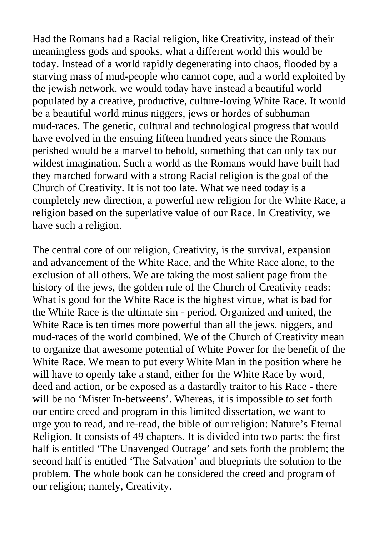Had the Romans had a Racial religion, like Creativity, instead of their meaningless gods and spooks, what a different world this would be today. Instead of a world rapidly degenerating into chaos, flooded by a starving mass of mud-people who cannot cope, and a world exploited by the jewish network, we would today have instead a beautiful world populated by a creative, productive, culture-loving White Race. It would be a beautiful world minus niggers, jews or hordes of subhuman mud-races. The genetic, cultural and technological progress that would have evolved in the ensuing fifteen hundred years since the Romans perished would be a marvel to behold, something that can only tax our wildest imagination. Such a world as the Romans would have built had they marched forward with a strong Racial religion is the goal of the Church of Creativity. It is not too late. What we need today is a completely new direction, a powerful new religion for the White Race, a religion based on the superlative value of our Race. In Creativity, we have such a religion.

The central core of our religion, Creativity, is the survival, expansion and advancement of the White Race, and the White Race alone, to the exclusion of all others. We are taking the most salient page from the history of the jews, the golden rule of the Church of Creativity reads: What is good for the White Race is the highest virtue, what is bad for the White Race is the ultimate sin - period. Organized and united, the White Race is ten times more powerful than all the jews, niggers, and mud-races of the world combined. We of the Church of Creativity mean to organize that awesome potential of White Power for the benefit of the White Race. We mean to put every White Man in the position where he will have to openly take a stand, either for the White Race by word, deed and action, or be exposed as a dastardly traitor to his Race - there will be no 'Mister In-betweens'. Whereas, it is impossible to set forth our entire creed and program in this limited dissertation, we want to urge you to read, and re-read, the bible of our religion: Nature's Eternal Religion. It consists of 49 chapters. It is divided into two parts: the first half is entitled 'The Unavenged Outrage' and sets forth the problem; the second half is entitled 'The Salvation' and blueprints the solution to the problem. The whole book can be considered the creed and program of our religion; namely, Creativity.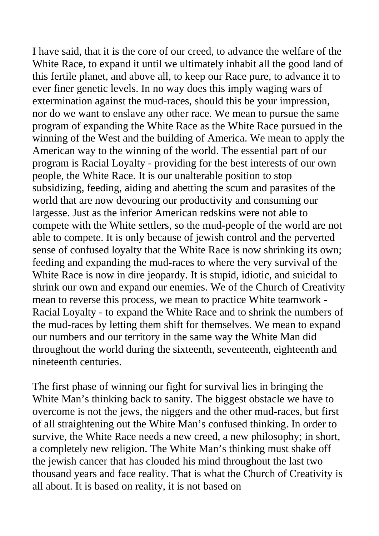I have said, that it is the core of our creed, to advance the welfare of the White Race, to expand it until we ultimately inhabit all the good land of this fertile planet, and above all, to keep our Race pure, to advance it to ever finer genetic levels. In no way does this imply waging wars of extermination against the mud-races, should this be your impression, nor do we want to enslave any other race. We mean to pursue the same program of expanding the White Race as the White Race pursued in the winning of the West and the building of America. We mean to apply the American way to the winning of the world. The essential part of our program is Racial Loyalty - providing for the best interests of our own people, the White Race. It is our unalterable position to stop subsidizing, feeding, aiding and abetting the scum and parasites of the world that are now devouring our productivity and consuming our largesse. Just as the inferior American redskins were not able to compete with the White settlers, so the mud-people of the world are not able to compete. It is only because of jewish control and the perverted sense of confused loyalty that the White Race is now shrinking its own; feeding and expanding the mud-races to where the very survival of the White Race is now in dire jeopardy. It is stupid, idiotic, and suicidal to shrink our own and expand our enemies. We of the Church of Creativity mean to reverse this process, we mean to practice White teamwork - Racial Loyalty - to expand the White Race and to shrink the numbers of the mud-races by letting them shift for themselves. We mean to expand our numbers and our territory in the same way the White Man did throughout the world during the sixteenth, seventeenth, eighteenth and nineteenth centuries.

The first phase of winning our fight for survival lies in bringing the White Man's thinking back to sanity. The biggest obstacle we have to

overcome is not the jews, the niggers and the other mud-races, but first of all straightening out the White Man's confused thinking. In order to survive, the White Race needs a new creed, a new philosophy; in short, a completely new religion. The White Man's thinking must shake off the jewish cancer that has clouded his mind throughout the last two thousand years and face reality. That is what the Church of Creativity is all about. It is based on reality, it is not based on